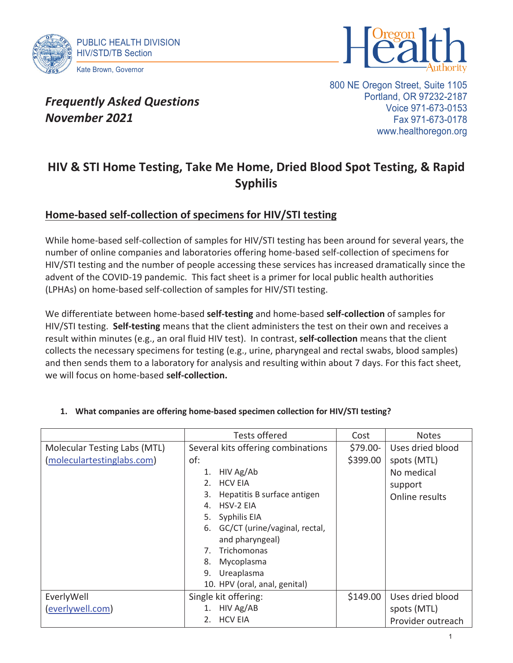



# *Frequently Asked Questions November 2021*

800 NE Oregon Street, Suite 1105 Portland, OR 97232-2187 Voice 971-673-0153 Fax 971-673-0178 www.healthoregon.org

# **HIV & STI Home Testing, Take Me Home, Dried Blood Spot Testing, & Rapid Syphilis**

### **Home-based self-collection of specimens for HIV/STI testing**

While home-based self-collection of samples for HIV/STI testing has been around for several years, the number of online companies and laboratories offering home-based self-collection of specimens for HIV/STI testing and the number of people accessing these services has increased dramatically since the advent of the COVID-19 pandemic. This fact sheet is a primer for local public health authorities (LPHAs) on home-based self-collection of samples for HIV/STI testing.

We differentiate between home-based **self-testing** and home-based **self-collection** of samples for HIV/STI testing. **Self-testing** means that the client administers the test on their own and receives a result within minutes (e.g., an oral fluid HIV test). In contrast, **self-collection** means that the client collects the necessary specimens for testing (e.g., urine, pharyngeal and rectal swabs, blood samples) and then sends them to a laboratory for analysis and resulting within about 7 days. For this fact sheet, we will focus on home-based **self-collection.**

|                              | <b>Tests offered</b>                | Cost      | <b>Notes</b>      |
|------------------------------|-------------------------------------|-----------|-------------------|
| Molecular Testing Labs (MTL) | Several kits offering combinations  | $$79.00-$ | Uses dried blood  |
| (moleculartestinglabs.com)   | of:                                 | \$399.00  | spots (MTL)       |
|                              | HIV Ag/Ab<br>1.                     |           | No medical        |
|                              | <b>HCV EIA</b><br>2.                |           | support           |
|                              | Hepatitis B surface antigen<br>3.   |           | Online results    |
|                              | <b>HSV-2 EIA</b><br>4.              |           |                   |
|                              | 5.<br>Syphilis EIA                  |           |                   |
|                              | GC/CT (urine/vaginal, rectal,<br>6. |           |                   |
|                              | and pharyngeal)                     |           |                   |
|                              | Trichomonas<br>7.                   |           |                   |
|                              | Mycoplasma<br>8.                    |           |                   |
|                              | 9.<br>Ureaplasma                    |           |                   |
|                              | 10. HPV (oral, anal, genital)       |           |                   |
| EverlyWell                   | Single kit offering:                | \$149.00  | Uses dried blood  |
| (everlywell.com)             | HIV Ag/AB                           |           | spots (MTL)       |
|                              | <b>HCV EIA</b><br>2.                |           | Provider outreach |

#### **1. What companies are offering home-based specimen collection for HIV/STI testing?**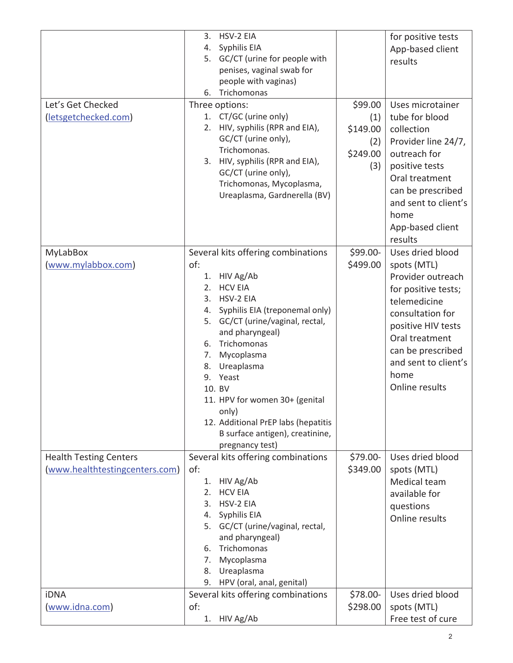| Let's Get Checked<br>(letsgetchecked.com)                                      | 3. HSV-2 EIA<br>4. Syphilis EIA<br>5. GC/CT (urine for people with<br>penises, vaginal swab for<br>people with vaginas)<br>6. Trichomonas<br>Three options:<br>1. CT/GC (urine only)<br>2. HIV, syphilis (RPR and EIA),<br>GC/CT (urine only),<br>Trichomonas.<br>3. HIV, syphilis (RPR and EIA),<br>GC/CT (urine only),<br>Trichomonas, Mycoplasma,<br>Ureaplasma, Gardnerella (BV)                     | \$99.00<br>(1)<br>\$149.00<br>(2)<br>\$249.00<br>(3) | for positive tests<br>App-based client<br>results<br>Uses microtainer<br>tube for blood<br>collection<br>Provider line 24/7,<br>outreach for<br>positive tests<br>Oral treatment<br>can be prescribed<br>and sent to client's<br>home<br>App-based client<br>results |
|--------------------------------------------------------------------------------|----------------------------------------------------------------------------------------------------------------------------------------------------------------------------------------------------------------------------------------------------------------------------------------------------------------------------------------------------------------------------------------------------------|------------------------------------------------------|----------------------------------------------------------------------------------------------------------------------------------------------------------------------------------------------------------------------------------------------------------------------|
| MyLabBox<br>(www.mylabbox.com)                                                 | Several kits offering combinations<br>of:<br>1. HIV Ag/Ab<br>2. HCV EIA<br>3. HSV-2 EIA<br>4. Syphilis EIA (treponemal only)<br>5. GC/CT (urine/vaginal, rectal,<br>and pharyngeal)<br>6. Trichomonas<br>7. Mycoplasma<br>8. Ureaplasma<br>Yeast<br>9.<br>10. BV<br>11. HPV for women 30+ (genital<br>only)<br>12. Additional PrEP labs (hepatitis<br>B surface antigen), creatinine,<br>pregnancy test) | \$99.00-<br>\$499.00                                 | Uses dried blood<br>spots (MTL)<br>Provider outreach<br>for positive tests;<br>telemedicine<br>consultation for<br>positive HIV tests<br>Oral treatment<br>can be prescribed<br>and sent to client's<br>home<br>Online results                                       |
| <b>Health Testing Centers</b><br>(www.healthtestingcenters.com)<br><b>iDNA</b> | Several kits offering combinations<br>of:<br>1. HIV Ag/Ab<br>2. HCV EIA<br>3. HSV-2 EIA<br>4. Syphilis EIA<br>5. GC/CT (urine/vaginal, rectal,<br>and pharyngeal)<br>6. Trichomonas<br>7. Mycoplasma<br>8. Ureaplasma<br>9. HPV (oral, anal, genital)<br>Several kits offering combinations                                                                                                              | \$79.00-<br>\$349.00<br>\$78.00-                     | Uses dried blood<br>spots (MTL)<br>Medical team<br>available for<br>questions<br>Online results<br>Uses dried blood                                                                                                                                                  |
| (www.idna.com)                                                                 | of:<br>1. HIV Ag/Ab                                                                                                                                                                                                                                                                                                                                                                                      | \$298.00                                             | spots (MTL)<br>Free test of cure                                                                                                                                                                                                                                     |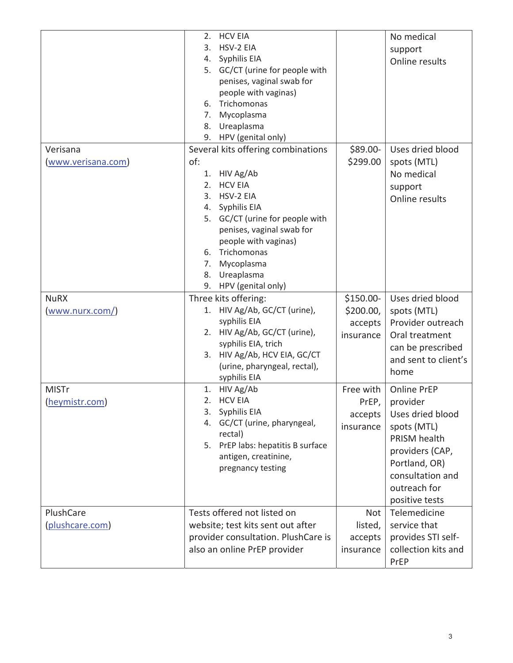|                                | <b>HCV EIA</b><br>2.<br>HSV-2 EIA<br>3.<br>Syphilis EIA<br>4.<br>5. GC/CT (urine for people with<br>penises, vaginal swab for<br>people with vaginas)<br>Trichomonas<br>6.<br>Mycoplasma<br>7.<br>Ureaplasma<br>8.<br>9. HPV (genital only)                                                     |                                                | No medical<br>support<br>Online results                                                                                                                              |
|--------------------------------|-------------------------------------------------------------------------------------------------------------------------------------------------------------------------------------------------------------------------------------------------------------------------------------------------|------------------------------------------------|----------------------------------------------------------------------------------------------------------------------------------------------------------------------|
| Verisana<br>(www.verisana.com) | Several kits offering combinations<br>of:<br>1. HIV Ag/Ab<br><b>HCV EIA</b><br>2.<br>HSV-2 EIA<br>3.<br>4. Syphilis EIA<br>5. GC/CT (urine for people with<br>penises, vaginal swab for<br>people with vaginas)<br>6. Trichomonas<br>Mycoplasma<br>7.<br>8. Ureaplasma<br>9. HPV (genital only) | \$89.00-<br>\$299.00                           | Uses dried blood<br>spots (MTL)<br>No medical<br>support<br>Online results                                                                                           |
| <b>NuRX</b><br>(www.nurx.com/) | Three kits offering:<br>1. HIV Ag/Ab, GC/CT (urine),<br>syphilis EIA<br>2. HIV Ag/Ab, GC/CT (urine),<br>syphilis EIA, trich<br>3. HIV Ag/Ab, HCV EIA, GC/CT<br>(urine, pharyngeal, rectal),<br>syphilis EIA                                                                                     | \$150.00-<br>\$200.00,<br>accepts<br>insurance | Uses dried blood<br>spots (MTL)<br>Provider outreach<br>Oral treatment<br>can be prescribed<br>and sent to client's<br>home                                          |
| <b>MISTr</b><br>(heymistr.com) | 1. HIV Ag/Ab<br><b>HCV EIA</b><br>2.<br>Syphilis EIA<br>3.<br>GC/CT (urine, pharyngeal,<br>4.<br>rectal)<br>5. PrEP labs: hepatitis B surface<br>antigen, creatinine,<br>pregnancy testing                                                                                                      | Free with<br>PrEP,<br>accepts<br>insurance     | Online PrEP<br>provider<br>Uses dried blood<br>spots (MTL)<br>PRISM health<br>providers (CAP,<br>Portland, OR)<br>consultation and<br>outreach for<br>positive tests |
| PlushCare<br>(plushcare.com)   | Tests offered not listed on<br>website; test kits sent out after<br>provider consultation. PlushCare is<br>also an online PrEP provider                                                                                                                                                         | Not<br>listed,<br>accepts<br>insurance         | Telemedicine<br>service that<br>provides STI self-<br>collection kits and<br>PrEP                                                                                    |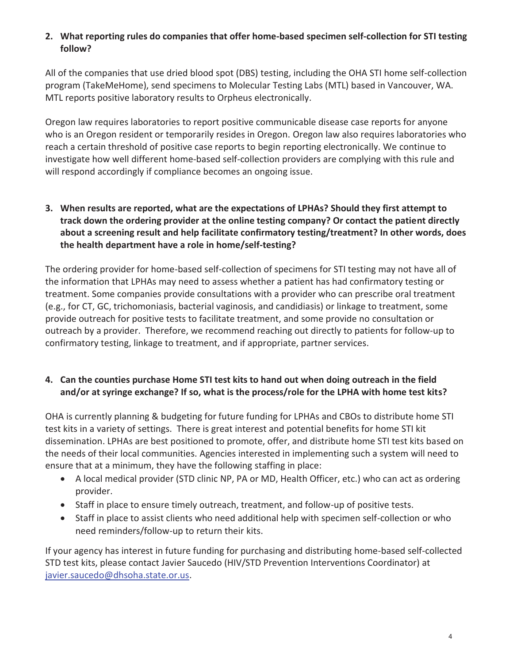### **2. What reporting rules do companies that offer home-based specimen self-collection for STI testing follow?**

All of the companies that use dried blood spot (DBS) testing, including the OHA STI home self-collection program (TakeMeHome), send specimens to Molecular Testing Labs (MTL) based in Vancouver, WA. MTL reports positive laboratory results to Orpheus electronically.

Oregon law requires laboratories to report positive communicable disease case reports for anyone who is an Oregon resident or temporarily resides in Oregon. Oregon law also requires laboratories who reach a certain threshold of positive case reports to begin reporting electronically. We continue to investigate how well different home-based self-collection providers are complying with this rule and will respond accordingly if compliance becomes an ongoing issue.

**3. When results are reported, what are the expectations of LPHAs? Should they first attempt to track down the ordering provider at the online testing company? Or contact the patient directly about a screening result and help facilitate confirmatory testing/treatment? In other words, does the health department have a role in home/self-testing?**

The ordering provider for home-based self-collection of specimens for STI testing may not have all of the information that LPHAs may need to assess whether a patient has had confirmatory testing or treatment. Some companies provide consultations with a provider who can prescribe oral treatment (e.g., for CT, GC, trichomoniasis, bacterial vaginosis, and candidiasis) or linkage to treatment, some provide outreach for positive tests to facilitate treatment, and some provide no consultation or outreach by a provider. Therefore, we recommend reaching out directly to patients for follow-up to confirmatory testing, linkage to treatment, and if appropriate, partner services.

### **4. Can the counties purchase Home STI test kits to hand out when doing outreach in the field and/or at syringe exchange? If so, what is the process/role for the LPHA with home test kits?**

OHA is currently planning & budgeting for future funding for LPHAs and CBOs to distribute home STI test kits in a variety of settings. There is great interest and potential benefits for home STI kit dissemination. LPHAs are best positioned to promote, offer, and distribute home STI test kits based on the needs of their local communities. Agencies interested in implementing such a system will need to ensure that at a minimum, they have the following staffing in place:

- A local medical provider (STD clinic NP, PA or MD, Health Officer, etc.) who can act as ordering provider.
- Staff in place to ensure timely outreach, treatment, and follow-up of positive tests.
- Staff in place to assist clients who need additional help with specimen self-collection or who need reminders/follow-up to return their kits.

If your agency has interest in future funding for purchasing and distributing home-based self-collected STD test kits, please contact Javier Saucedo (HIV/STD Prevention Interventions Coordinator) at javier.saucedo@dhsoha.state.or.us.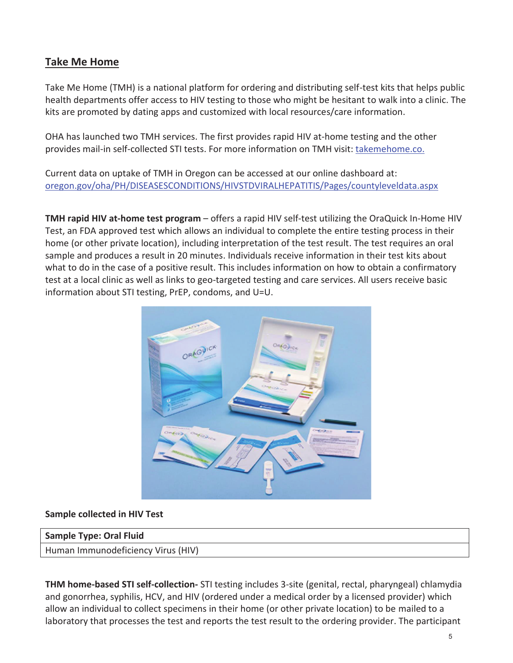### **Take Me Home**

Take Me Home (TMH) is a national platform for ordering and distributing self-test kits that helps public health departments offer access to HIV testing to those who might be hesitant to walk into a clinic. The kits are promoted by dating apps and customized with local resources/care information.

OHA has launched two TMH services. The first provides rapid HIV at-home testing and the other provides mail-in self-collected STI tests. For more information on TMH visit: takemehome.co.

Current data on uptake of TMH in Oregon can be accessed at our online dashboard at: oregon.gov/oha/PH/DISEASESCONDITIONS/HIVSTDVIRALHEPATITIS/Pages/countyleveldata.aspx

**TMH rapid HIV at-home test program** – offers a rapid HIV self-test utilizing the OraQuick In-Home HIV Test, an FDA approved test which allows an individual to complete the entire testing process in their home (or other private location), including interpretation of the test result. The test requires an oral sample and produces a result in 20 minutes. Individuals receive information in their test kits about what to do in the case of a positive result. This includes information on how to obtain a confirmatory test at a local clinic as well as links to geo-targeted testing and care services. All users receive basic information about STI testing, PrEP, condoms, and U=U.



#### **Sample collected in HIV Test**

#### **Sample Type: Oral Fluid**

Human Immunodeficiency Virus (HIV)

**THM home-based STI self-collection-** STI testing includes 3-site (genital, rectal, pharyngeal) chlamydia and gonorrhea, syphilis, HCV, and HIV (ordered under a medical order by a licensed provider) which allow an individual to collect specimens in their home (or other private location) to be mailed to a laboratory that processes the test and reports the test result to the ordering provider. The participant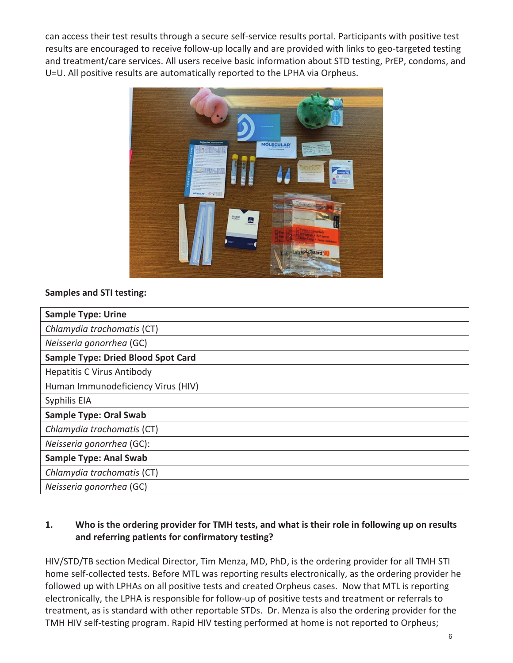can access their test results through a secure self-service results portal. Participants with positive test results are encouraged to receive follow-up locally and are provided with links to geo-targeted testing and treatment/care services. All users receive basic information about STD testing, PrEP, condoms, and U=U. All positive results are automatically reported to the LPHA via Orpheus.



### **Samples and STI testing:**

| <b>Sample Type: Urine</b>                 |
|-------------------------------------------|
| Chlamydia trachomatis (CT)                |
| Neisseria gonorrhea (GC)                  |
| <b>Sample Type: Dried Blood Spot Card</b> |
| <b>Hepatitis C Virus Antibody</b>         |
| Human Immunodeficiency Virus (HIV)        |
| Syphilis EIA                              |
| <b>Sample Type: Oral Swab</b>             |
| Chlamydia trachomatis (CT)                |
| Neisseria gonorrhea (GC):                 |
| <b>Sample Type: Anal Swab</b>             |
| Chlamydia trachomatis (CT)                |
| Neisseria gonorrhea (GC)                  |

### **1. Who is the ordering provider for TMH tests, and what is their role in following up on results and referring patients for confirmatory testing?**

HIV/STD/TB section Medical Director, Tim Menza, MD, PhD, is the ordering provider for all TMH STI home self-collected tests. Before MTL was reporting results electronically, as the ordering provider he followed up with LPHAs on all positive tests and created Orpheus cases. Now that MTL is reporting electronically, the LPHA is responsible for follow-up of positive tests and treatment or referrals to treatment, as is standard with other reportable STDs. Dr. Menza is also the ordering provider for the TMH HIV self-testing program. Rapid HIV testing performed at home is not reported to Orpheus;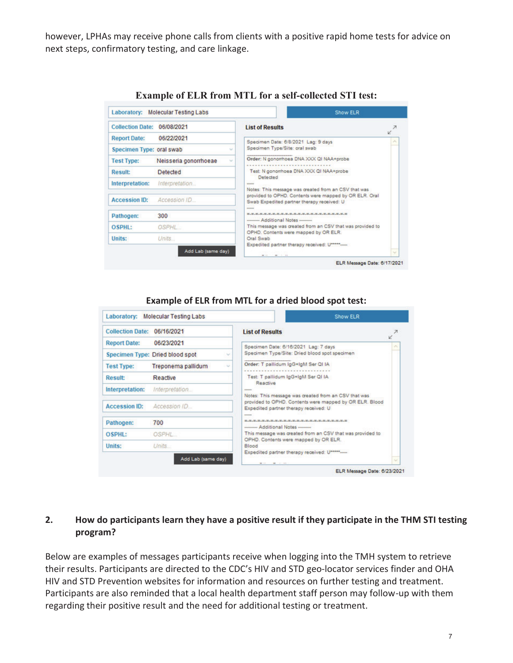however, LPHAs may receive phone calls from clients with a positive rapid home tests for advice on next steps, confirmatory testing, and care linkage.

| <b>Collection Date:</b>  | 06/08/2021                         | <b>List of Results</b>                                                                               |        |
|--------------------------|------------------------------------|------------------------------------------------------------------------------------------------------|--------|
| <b>Report Date:</b>      | 06/22/2021                         | Specimen Date: 6/8/2021 Lag: 9 days                                                                  |        |
| Specimen Type: oral swab |                                    | Specimen Type/Site: oral swab                                                                        |        |
| <b>Test Type:</b>        | Neisseria gonorrhoeae              | Order: N gonomhoea DNA XXX QI NAA+probe                                                              |        |
| <b>Result:</b>           | Detected                           | Test: N gonomhoea DNA XXX QI NAA+probe<br>Detected                                                   |        |
| Interpretation:          | Interpretation                     | <b>ANGELES</b><br>Notes: This message was created from an CSV that was                               |        |
| <b>Accession ID:</b>     | Accession ID                       | provided to OPHD. Contents were mapped by OR ELR. Oral<br>Swab Expedited partner therapy received: U |        |
| Pathogen:                | 300                                | <b>DESCRIPTION</b><br>************************<br>--------- Additional Notes ---------               |        |
| OSPHI:                   | OSPHL                              | This message was created from an CSV that was provided to<br>OPHD. Contents were mapped by OR ELR.   |        |
| Units:                   | <b>Units</b><br>Add Lab (same day) | Oral Swab<br>Expedited partner therapy received: U *****                                             | $\sim$ |

**Example of ELR from MTL for a self-collected STI test:**

#### **Example of ELR from MTL for a dried blood spot test:**

| <b>Collection Date:</b> | 06/16/2021                      | <b>List of Results</b>                                                                           |
|-------------------------|---------------------------------|--------------------------------------------------------------------------------------------------|
| <b>Report Date:</b>     | 06/23/2021                      | Specimen Date: 6/16/2021 Lag: 7 days                                                             |
|                         | Specimen Type: Dried blood spot | Specimen Type/Site: Dried blood spot specimen                                                    |
| <b>Test Type:</b>       | Treponema pallidum              | Order: T pallidum IgG+IgM Ser QI IA                                                              |
| <b>Result:</b>          | Reactive                        | Test: T pallidum IgG+IgM Ser QI IA                                                               |
| Interpretation:         | Interpretation                  | Reactive<br><b>AMARIN</b><br>Notes: This message was created from an CSV that was                |
| <b>Accession ID:</b>    | Accession ID                    | provided to OPHD. Contents were mapped by OR ELR. Blood<br>Expedited partner therapy received: U |
| Pathogen:               | 700                             | -----<br><b>Motes Additional Notes </b>                                                          |
| OSPHL:                  | <b>OSPHL</b>                    | This message was created from an CSV that was provided to                                        |
| Units:                  | Units.                          | OPHD. Contents were mapped by OR ELR.<br>Blood                                                   |

#### **2. How do participants learn they have a positive result if they participate in the THM STI testing program?**

Below are examples of messages participants receive when logging into the TMH system to retrieve their results. Participants are directed to the CDC's HIV and STD geo-locator services finder and OHA HIV and STD Prevention websites for information and resources on further testing and treatment. Participants are also reminded that a local health department staff person may follow-up with them regarding their positive result and the need for additional testing or treatment.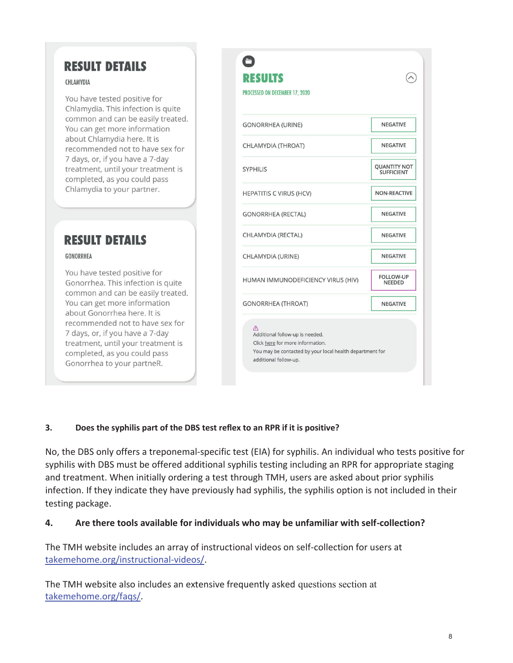# **RESULT DETAILS**

#### CHLAMYDIA

You have tested positive for Chlamydia. This infection is quite common and can be easily treated. You can get more information about Chlamydia here. It is recommended not to have sex for 7 days, or, if you have a 7-day treatment, until your treatment is completed, as you could pass Chlamydia to your partner.

# **RESULT DETAILS**

#### GONORRHEA

You have tested positive for Gonorrhea. This infection is quite common and can be easily treated. You can get more information about Gonorrhea here. It is recommended not to have sex for 7 days, or, if you have a 7-day treatment, until your treatment is completed, as you could pass Gonorrhea to your partneR.

| <b>RESULTS</b><br>PROCESSED ON DECEMBER 17, 2020                                                                                                                        |                                          |
|-------------------------------------------------------------------------------------------------------------------------------------------------------------------------|------------------------------------------|
| <b>GONORRHEA (URINE)</b>                                                                                                                                                | <b>NEGATIVE</b>                          |
| CHLAMYDIA (THROAT)                                                                                                                                                      | <b>NEGATIVE</b>                          |
| <b>SYPHILIS</b>                                                                                                                                                         | <b>QUANTITY NOT</b><br><b>SUFFICIENT</b> |
| <b>HEPATITIS C VIRUS (HCV)</b>                                                                                                                                          | NON-REACTIVE                             |
| <b>GONORRHEA (RECTAL)</b>                                                                                                                                               | <b>NEGATIVE</b>                          |
| CHLAMYDIA (RECTAL)                                                                                                                                                      | <b>NEGATIVE</b>                          |
| CHLAMYDIA (URINE)                                                                                                                                                       | <b>NEGATIVE</b>                          |
| HUMAN IMMUNODEFICIENCY VIRUS (HIV)                                                                                                                                      | <b>FOLLOW-UP</b><br><b>NEEDED</b>        |
| <b>GONORRHEA (THROAT)</b>                                                                                                                                               | <b>NEGATIVE</b>                          |
| $\triangle$<br>Additional follow-up is needed.<br>Click here for more information.<br>You may be contacted by your local health department for<br>additional follow-up. |                                          |

#### **3. Does the syphilis part of the DBS test reflex to an RPR if it is positive?**

No, the DBS only offers a treponemal-specific test (EIA) for syphilis. An individual who tests positive for syphilis with DBS must be offered additional syphilis testing including an RPR for appropriate staging and treatment. When initially ordering a test through TMH, users are asked about prior syphilis infection. If they indicate they have previously had syphilis, the syphilis option is not included in their testing package.

#### **4. Are there tools available for individuals who may be unfamiliar with self-collection?**

The TMH website includes an array of instructional videos on self-collection for users at takemehome.org/instructional-videos/.

The TMH website also includes an extensive frequently asked questions section at takemehome.org/faqs/.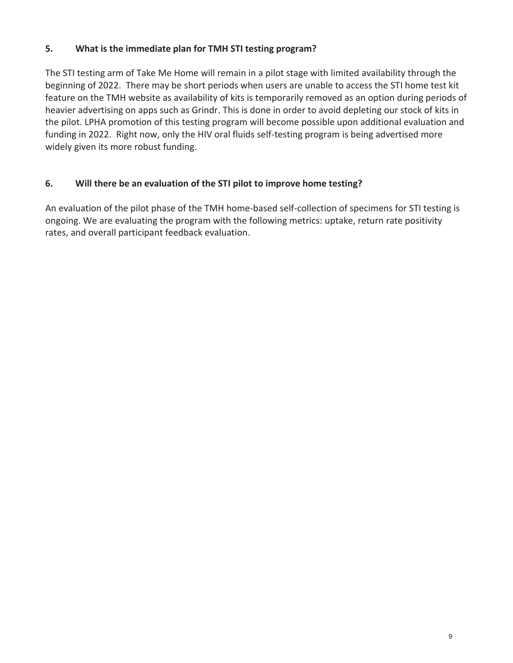#### **5. What is the immediate plan for TMH STI testing program?**

The STI testing arm of Take Me Home will remain in a pilot stage with limited availability through the beginning of 2022. There may be short periods when users are unable to access the STI home test kit feature on the TMH website as availability of kits is temporarily removed as an option during periods of heavier advertising on apps such as Grindr. This is done in order to avoid depleting our stock of kits in the pilot. LPHA promotion of this testing program will become possible upon additional evaluation and funding in 2022. Right now, only the HIV oral fluids self-testing program is being advertised more widely given its more robust funding.

#### **6. Will there be an evaluation of the STI pilot to improve home testing?**

An evaluation of the pilot phase of the TMH home-based self-collection of specimens for STI testing is ongoing. We are evaluating the program with the following metrics: uptake, return rate positivity rates, and overall participant feedback evaluation.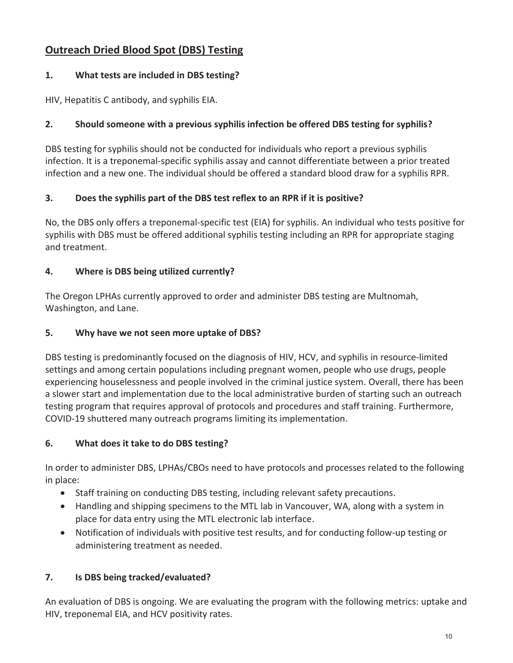# **Outreach Dried Blood Spot (DBS) Testing**

### **1. What tests are included in DBS testing?**

HIV, Hepatitis C antibody, and syphilis EIA.

## **2. Should someone with a previous syphilis infection be offered DBS testing for syphilis?**

DBS testing for syphilis should not be conducted for individuals who report a previous syphilis infection. It is a treponemal-specific syphilis assay and cannot differentiate between a prior treated infection and a new one. The individual should be offered a standard blood draw for a syphilis RPR.

### **3. Does the syphilis part of the DBS test reflex to an RPR if it is positive?**

No, the DBS only offers a treponemal-specific test (EIA) for syphilis. An individual who tests positive for syphilis with DBS must be offered additional syphilis testing including an RPR for appropriate staging and treatment.

## **4. Where is DBS being utilized currently?**

The Oregon LPHAs currently approved to order and administer DBS testing are Multnomah, Washington, and Lane.

### **5. Why have we not seen more uptake of DBS?**

DBS testing is predominantly focused on the diagnosis of HIV, HCV, and syphilis in resource-limited settings and among certain populations including pregnant women, people who use drugs, people experiencing houselessness and people involved in the criminal justice system. Overall, there has been a slower start and implementation due to the local administrative burden of starting such an outreach testing program that requires approval of protocols and procedures and staff training. Furthermore, COVID-19 shuttered many outreach programs limiting its implementation.

## **6. What does it take to do DBS testing?**

In order to administer DBS, LPHAs/CBOs need to have protocols and processes related to the following in place:

- Staff training on conducting DBS testing, including relevant safety precautions.
- Handling and shipping specimens to the MTL lab in Vancouver, WA, along with a system in place for data entry using the MTL electronic lab interface.
- Notification of individuals with positive test results, and for conducting follow-up testing or administering treatment as needed.

## **7. Is DBS being tracked/evaluated?**

An evaluation of DBS is ongoing. We are evaluating the program with the following metrics: uptake and HIV, treponemal EIA, and HCV positivity rates.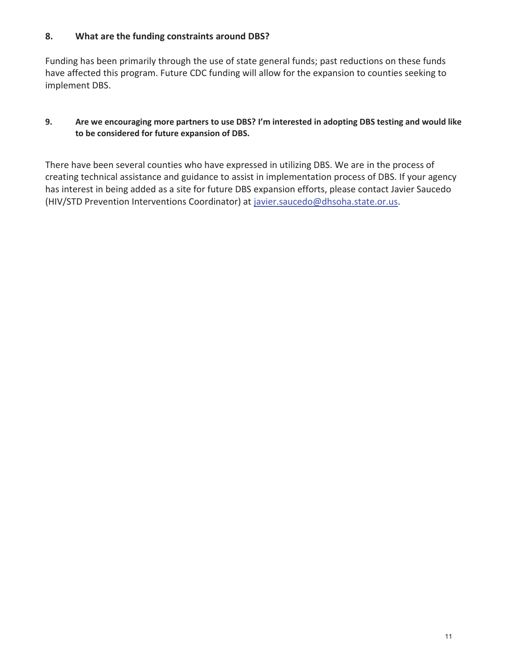#### **8. What are the funding constraints around DBS?**

Funding has been primarily through the use of state general funds; past reductions on these funds have affected this program. Future CDC funding will allow for the expansion to counties seeking to implement DBS.

#### **9. Are we encouraging more partners to use DBS? I'm interested in adopting DBS testing and would like to be considered for future expansion of DBS.**

There have been several counties who have expressed in utilizing DBS. We are in the process of creating technical assistance and guidance to assist in implementation process of DBS. If your agency has interest in being added as a site for future DBS expansion efforts, please contact Javier Saucedo (HIV/STD Prevention Interventions Coordinator) at javier.saucedo@dhsoha.state.or.us.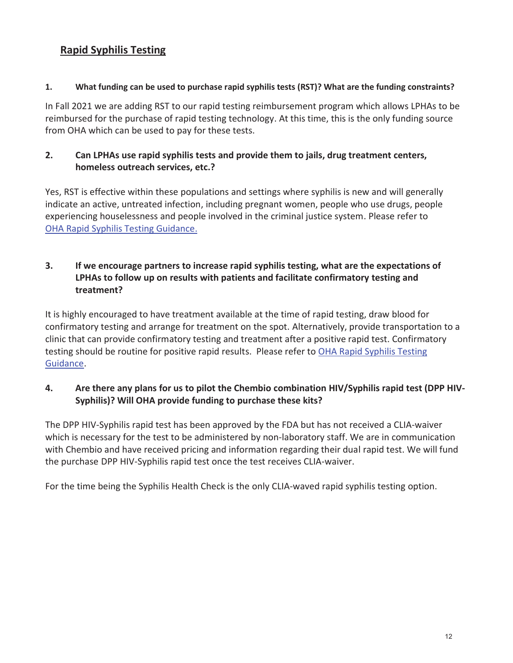## **Rapid Syphilis Testing**

#### **1. What funding can be used to purchase rapid syphilis tests (RST)? What are the funding constraints?**

In Fall 2021 we are adding RST to our rapid testing reimbursement program which allows LPHAs to be reimbursed for the purchase of rapid testing technology. At this time, this is the only funding source from OHA which can be used to pay for these tests.

### **2. Can LPHAs use rapid syphilis tests and provide them to jails, drug treatment centers, homeless outreach services, etc.?**

Yes, RST is effective within these populations and settings where syphilis is new and will generally indicate an active, untreated infection, including pregnant women, people who use drugs, people experiencing houselessness and people involved in the criminal justice system. Please refer to OHA Rapid Syphilis Testing Guidance.

### **3. If we encourage partners to increase rapid syphilis testing, what are the expectations of LPHAs to follow up on results with patients and facilitate confirmatory testing and treatment?**

It is highly encouraged to have treatment available at the time of rapid testing, draw blood for confirmatory testing and arrange for treatment on the spot. Alternatively, provide transportation to a clinic that can provide confirmatory testing and treatment after a positive rapid test. Confirmatory testing should be routine for positive rapid results. Please refer to OHA Rapid Syphilis Testing Guidance.

### **4. Are there any plans for us to pilot the Chembio combination HIV/Syphilis rapid test (DPP HIV-Syphilis)? Will OHA provide funding to purchase these kits?**

The DPP HIV-Syphilis rapid test has been approved by the FDA but has not received a CLIA-waiver which is necessary for the test to be administered by non-laboratory staff. We are in communication with Chembio and have received pricing and information regarding their dual rapid test. We will fund the purchase DPP HIV-Syphilis rapid test once the test receives CLIA-waiver.

For the time being the Syphilis Health Check is the only CLIA-waved rapid syphilis testing option.